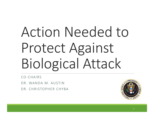# Action Needed to Protect Against Biological Attack

CO‐CHAIRS

DR. WANDA M. AUSTIN

DR. CHRISTOPHER CHYBA

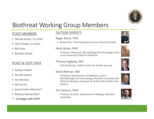

# Biothreat Working Group Members

#### PCAST MEMBERS

- Wanda Austin, Co‐Chair
- Chris Chyba, Co‐Chair
- Bill Press
- Barbara Schaal

#### PCAST & OSTP STAFF

- Ashley Predith
- Gerald Epstein
- Jen Michael
- Alli Curran
- Susan Coller‐Monarez\*
- Marjory Blumenthal\*
- \* ‐ no longer with OSTP

#### OUTSIDE EXPERTS

#### Roger Brent, PHD

• Researcher, Fred Hutchinson Cancer Research Center

#### Mark Buller, PHD

◦ Professor, Molecular Microbiology & Immunology, Saint Louis University School of Medicine

#### Thomas Inglesby, MD

◦ CEO & Director, UPMC Center for Health Security

#### David Relman, MD

◦ Professor, Departments of Medicine, and of Microbiology and Immunology, Stanford University and Chief of Infectious Diseases at VA Palo Alto Health Care System

#### Tim Stearns, PHD

◦ Professor & Chair, Department of Biology, Stanford University









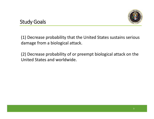

### Study Goals

(1) Decrease probability that the United States sustains serious damage from <sup>a</sup> biological attack.

(2) Decrease probability of or preempt biological attack on the United States and worldwide.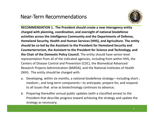## Near‐Term Recommendations



**RECOMMENDATION 1. The President should create <sup>a</sup> new interagency entity charged with planning, coordination, and oversight of national biodefense activities across the Intelligence Community and the Departments of Defense, Homeland Security, Health and Human Services (HHS), and Agriculture. The entity should be co‐led by the Assistant to the President for Homeland Security and Counterterrorism, the Assistant to the President for Science and Technology, and the Chair of the Domestic Policy Council.** The entity should have senior‐level representation from all of the indicated agencies, including from within HHS, the Centers of Disease Control and Prevention (CDC), the Biomedical Advanced Research Projects Administration (BARDA), and the National Institutes of Health (NIH). The entity should be charged with:

- a. Developing, within six months, <sup>a</sup> national biodefense strategy—including short‐, medium‐, and long‐term components—to anticipate, prepare for, and respond to all issues that arise as biotechnology continues to advance;
- b. Preparing thereafter annual public updates (with <sup>a</sup> classified annex) to the President that describe progress toward achieving the strategy and update the strategy as necessary;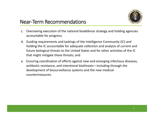

# Near‐Term Recommendations

- c. Overseeing execution of the national biodefense strategy and holding agencies accountable for progress;
- d. Guiding requirements and taskings of the Intelligence Community (IC) and holding the IC accountable for adequate collection and analysis of current and future biological threats to the United States and for other activities of the IC that might mitigate these threats; and
- e. Ensuring coordination of efforts against new and emerging infectious diseases, antibiotic resistance, and intentional biothreats—including through the development of biosurveillance systems and the new medical‐ countermeasures.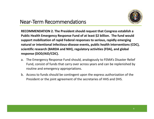

# Near‐Term Recommendations

**RECOMMENDATION 2. The President should request that Congress establish <sup>a</sup> Public Health Emergency Response Fund of at least \$2 billion. The fund would support mobilization of rapid Federal responses to serious, rapidly emerging natural or intentional infectious‐disease events, public health interventions (CDC), scientific research (BARDA and NIH), regulatory activities (FDA), and global response (DOD/AID/CDC).**

- a. The Emergency Response Fund should, analogously to FEMA's Disaster Relief Fund, consist of funds that carry over across years and can be replenished by routine and emergency appropriations.
- b. Access to funds should be contingent upon the express authorization of the President or the joint agreement of the secretaries of HHS and DHS.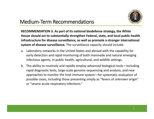

**RECOMMENDATION 3. As part of its national biodefense strategy, the White House should act to substantially strengthen Federal, state, and local public health infrastructure for disease surveillance, as well as promote <sup>a</sup> stronger international system of disease surveillance.** The surveillance capacity should include:

- a. Laboratory networks in the United States and abroad with the capability for early detection and rapid monitoring of both manmade and natural emerging infectious agents, in public health, agricultural, and wildlife settings.
- b. The ability to routinely and rapidly employ advanced biological tools—including rapid diagnostic tests, large‐scale genome sequencing and analysis, and new approaches to monitor the host immune system—for systematic evaluation of possible cases, including those presenting simply as "fevers of unknown origin" or "severe acute respiratory infections."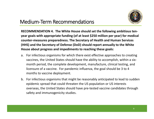

**RECOMMENDATION 4. The White House should set the following ambitious ten‐ year goals with appropriate funding (of at least \$250 million per year) for medical counter‐measures preparedness. The Secretary of Health and Human Services (HHS) and the Secretary of Defense (DoD) should report annually to the White House about progress and impediments to reaching these goals:**

- a. For infectious organisms for which there exist effective approaches to creating vaccines, the United States should have the ability to accomplish, within <sup>a</sup> six‐ month period, the complete development, manufacture, clinical testing, and licensure of <sup>a</sup> vaccine. For pandemic influenza, the goal should be 3 to 4 months to vaccine deployment.
- b. For infectious organisms that might be reasonably anticipated to lead to sudden epidemic spread that could threaten the US population or US interests overseas, the United States should have pre‐tested vaccine candidates through safety and immunogenicity studies.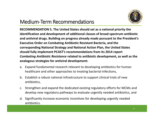

**RECOMMENDATION 5. The United States should set as <sup>a</sup> national priority the identification and development of additional classes of broad‐spectrum antibiotic and antiviral drugs. Building on progress already made pursuant to the President's Executive Order on Combating Antibiotic Resistant Bacteria, and the corresponding National Strategy and National Action Plan, the United States should fully implement PCAST's recommendations from its 2014 report** *Combating Antibiotic Resistance* **related to antibiotic development, as well as the analogous strategies for antiviral development:**

- a. Expand fundamental research relevant to developing antibiotics for human healthcare and other approaches to treating bacterial infections,
- b. Establish <sup>a</sup> robust national infrastructure to support clinical trials of new antibiotics,
- c. Strengthen and expand the dedicated existing regulatory efforts for MCMs and develop new regulatory pathways to evaluate urgently needed antibiotics, and
- d. Significantly increase economic incentives for developing urgently needed antibiotics.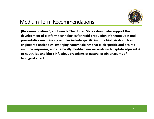

**(Recommendation 5, continued) The United States should also support the development of platform technologies for rapid production of therapeutics and preventative medicines (examples include specific immunobiologicals such as engineered antibodies, emerging nanomedicines that elicit specific and desired immune responses, and chemically modified nucleic acids with peptide adjuvants) to neutralize and block infectious organisms of natural origin or agents of biological attack.**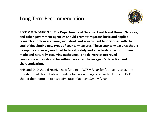

**RECOMMENDATION 6. The Departments of Defense, Health and Human Services, and other government agencies should promote vigorous basic and applied research efforts in academic, industrial, and government laboratories with the goal of developing new types of countermeasures. These countermeasures should be rapidly and easily modified to target, safely and effectively, specific human‐ made and naturally‐occurring pathogens. The delivery of approved countermeasures should be within days after the an agent's detection and characterization.**

HHS and DoD should receive new funding of \$75M/year for four years to lay the foundation of this initiative. Funding for relevant agencies within HHS and DoD should then ramp up to <sup>a</sup> steady‐state of at least \$250M/year.